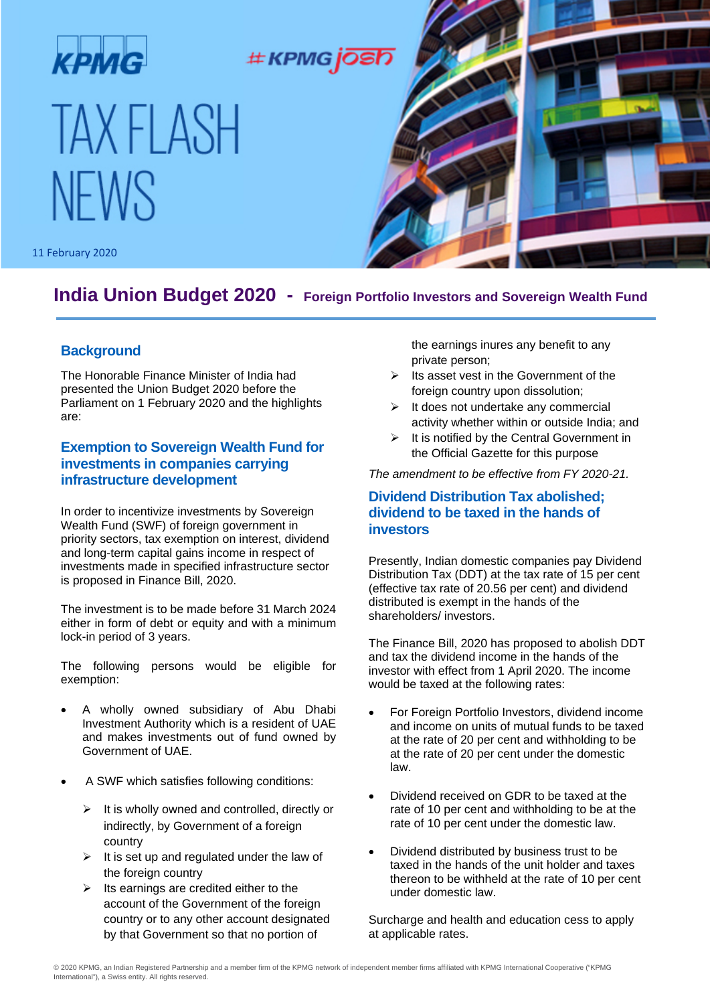

# **India Union Budget 2020 - Foreign Portfolio Investors and Sovereign Wealth Fund**

### **Background**

The Honorable Finance Minister of India had presented the Union Budget 2020 before the Parliament on 1 February 2020 and the highlights are:

# **Exemption to Sovereign Wealth Fund for investments in companies carrying infrastructure development**

In order to incentivize investments by Sovereign Wealth Fund (SWF) of foreign government in priority sectors, tax exemption on interest, dividend and long-term capital gains income in respect of investments made in specified infrastructure sector is proposed in Finance Bill, 2020.

The investment is to be made before 31 March 2024 either in form of debt or equity and with a minimum lock-in period of 3 years.

The following persons would be eligible for exemption:

- A wholly owned subsidiary of Abu Dhabi Investment Authority which is a resident of UAE and makes investments out of fund owned by Government of UAE.
- A SWF which satisfies following conditions:
	- $\triangleright$  It is wholly owned and controlled, directly or indirectly, by Government of a foreign country
	- $\triangleright$  It is set up and regulated under the law of the foreign country
	- $\triangleright$  Its earnings are credited either to the account of the Government of the foreign country or to any other account designated by that Government so that no portion of

the earnings inures any benefit to any private person;

- $\triangleright$  Its asset vest in the Government of the foreign country upon dissolution:
- $\triangleright$  It does not undertake any commercial activity whether within or outside India; and
- $\triangleright$  It is notified by the Central Government in the Official Gazette for this purpose

*The amendment to be effective from FY 2020-21.* 

### **Dividend Distribution Tax abolished; dividend to be taxed in the hands of investors**

Presently, Indian domestic companies pay Dividend Distribution Tax (DDT) at the tax rate of 15 per cent (effective tax rate of 20.56 per cent) and dividend distributed is exempt in the hands of the shareholders/ investors.

The Finance Bill, 2020 has proposed to abolish DDT and tax the dividend income in the hands of the investor with effect from 1 April 2020. The income would be taxed at the following rates:

- For Foreign Portfolio Investors, dividend income and income on units of mutual funds to be taxed at the rate of 20 per cent and withholding to be at the rate of 20 per cent under the domestic law.
- Dividend received on GDR to be taxed at the rate of 10 per cent and withholding to be at the rate of 10 per cent under the domestic law.
- Dividend distributed by business trust to be taxed in the hands of the unit holder and taxes thereon to be withheld at the rate of 10 per cent under domestic law.

Surcharge and health and education cess to apply at applicable rates.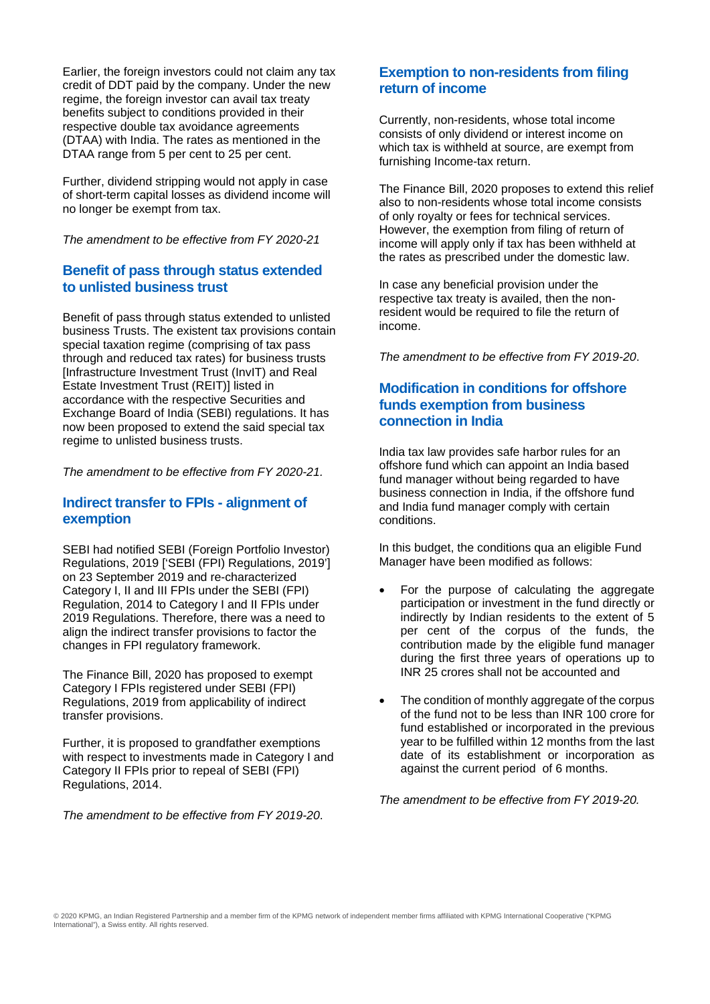Earlier, the foreign investors could not claim any tax credit of DDT paid by the company. Under the new regime, the foreign investor can avail tax treaty benefits subject to conditions provided in their respective double tax avoidance agreements (DTAA) with India. The rates as mentioned in the DTAA range from 5 per cent to 25 per cent.

Further, dividend stripping would not apply in case of short-term capital losses as dividend income will no longer be exempt from tax.

*The amendment to be effective from FY 2020-21*

### **Benefit of pass through status extended to unlisted business trust**

Benefit of pass through status extended to unlisted business Trusts. The existent tax provisions contain special taxation regime (comprising of tax pass through and reduced tax rates) for business trusts [Infrastructure Investment Trust (InvIT) and Real Estate Investment Trust (REIT)] listed in accordance with the respective Securities and Exchange Board of India (SEBI) regulations. It has now been proposed to extend the said special tax regime to unlisted business trusts.

*The amendment to be effective from FY 2020-21.* 

### **Indirect transfer to FPIs - alignment of exemption**

SEBI had notified SEBI (Foreign Portfolio Investor) Regulations, 2019 ['SEBI (FPI) Regulations, 2019'] on 23 September 2019 and re-characterized Category I, II and III FPIs under the SEBI (FPI) Regulation, 2014 to Category I and II FPIs under 2019 Regulations. Therefore, there was a need to align the indirect transfer provisions to factor the changes in FPI regulatory framework.

The Finance Bill, 2020 has proposed to exempt Category I FPIs registered under SEBI (FPI) Regulations, 2019 from applicability of indirect transfer provisions.

Further, it is proposed to grandfather exemptions with respect to investments made in Category I and Category II FPIs prior to repeal of SEBI (FPI) Regulations, 2014.

*The amendment to be effective from FY 2019-20*.

# **Exemption to non-residents from filing return of income**

Currently, non-residents, whose total income consists of only dividend or interest income on which tax is withheld at source, are exempt from furnishing Income-tax return.

The Finance Bill, 2020 proposes to extend this relief also to non-residents whose total income consists of only royalty or fees for technical services. However, the exemption from filing of return of income will apply only if tax has been withheld at the rates as prescribed under the domestic law.

In case any beneficial provision under the respective tax treaty is availed, then the nonresident would be required to file the return of income.

*The amendment to be effective from FY 2019-20*.

## **Modification in conditions for offshore funds exemption from business connection in India**

India tax law provides safe harbor rules for an offshore fund which can appoint an India based fund manager without being regarded to have business connection in India, if the offshore fund and India fund manager comply with certain conditions.

In this budget, the conditions qua an eligible Fund Manager have been modified as follows:

- For the purpose of calculating the aggregate participation or investment in the fund directly or indirectly by Indian residents to the extent of 5 per cent of the corpus of the funds, the contribution made by the eligible fund manager during the first three years of operations up to INR 25 crores shall not be accounted and
- The condition of monthly aggregate of the corpus of the fund not to be less than INR 100 crore for fund established or incorporated in the previous year to be fulfilled within 12 months from the last date of its establishment or incorporation as against the current period of 6 months.

*The amendment to be effective from FY 2019-20.*